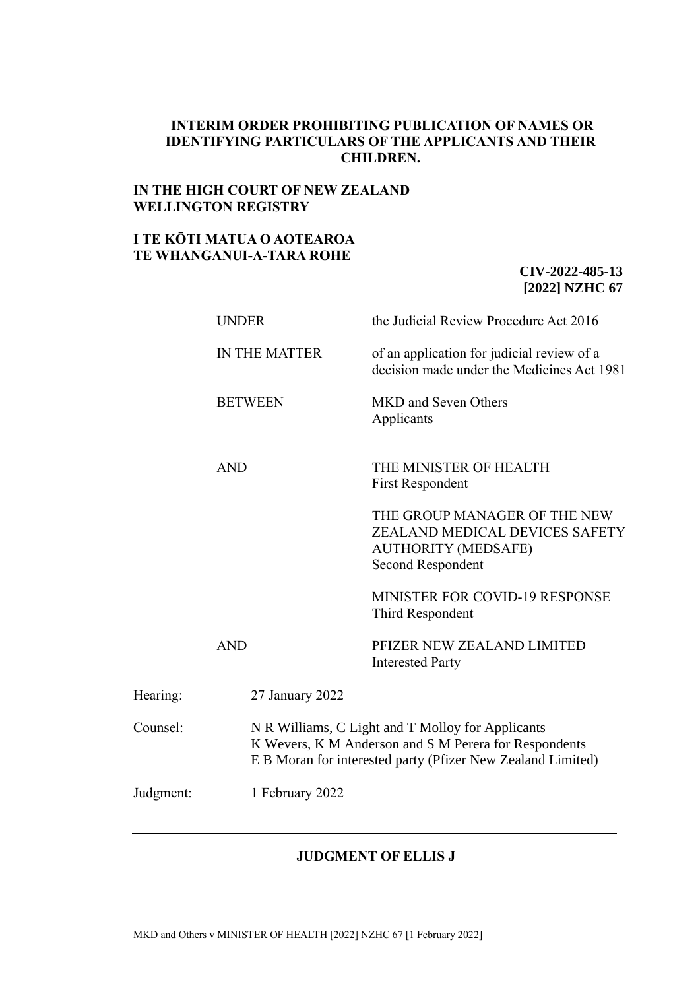## **INTERIM ORDER PROHIBITING PUBLICATION OF NAMES OR IDENTIFYING PARTICULARS OF THE APPLICANTS AND THEIR CHILDREN.**

## **IN THE HIGH COURT OF NEW ZEALAND WELLINGTON REGISTRY**

## **I TE KŌTI MATUA O AOTEAROA TE WHANGANUI-A-TARA ROHE**

# **CIV-2022-485-13 [2022] NZHC 67**

|           | <b>UNDER</b>         | the Judicial Review Procedure Act 2016                                                                                                                                    |  |
|-----------|----------------------|---------------------------------------------------------------------------------------------------------------------------------------------------------------------------|--|
|           | <b>IN THE MATTER</b> | of an application for judicial review of a<br>decision made under the Medicines Act 1981                                                                                  |  |
|           | <b>BETWEEN</b>       | MKD and Seven Others<br>Applicants                                                                                                                                        |  |
|           | <b>AND</b>           | THE MINISTER OF HEALTH<br><b>First Respondent</b>                                                                                                                         |  |
|           |                      | THE GROUP MANAGER OF THE NEW<br>ZEALAND MEDICAL DEVICES SAFETY<br><b>AUTHORITY (MEDSAFE)</b><br>Second Respondent                                                         |  |
|           |                      | <b>MINISTER FOR COVID-19 RESPONSE</b><br>Third Respondent                                                                                                                 |  |
|           | <b>AND</b>           | PFIZER NEW ZEALAND LIMITED<br><b>Interested Party</b>                                                                                                                     |  |
| Hearing:  | 27 January 2022      |                                                                                                                                                                           |  |
| Counsel:  |                      | N R Williams, C Light and T Molloy for Applicants<br>K Wevers, K M Anderson and S M Perera for Respondents<br>E B Moran for interested party (Pfizer New Zealand Limited) |  |
| Judgment: | 1 February 2022      |                                                                                                                                                                           |  |

#### **JUDGMENT OF ELLIS J**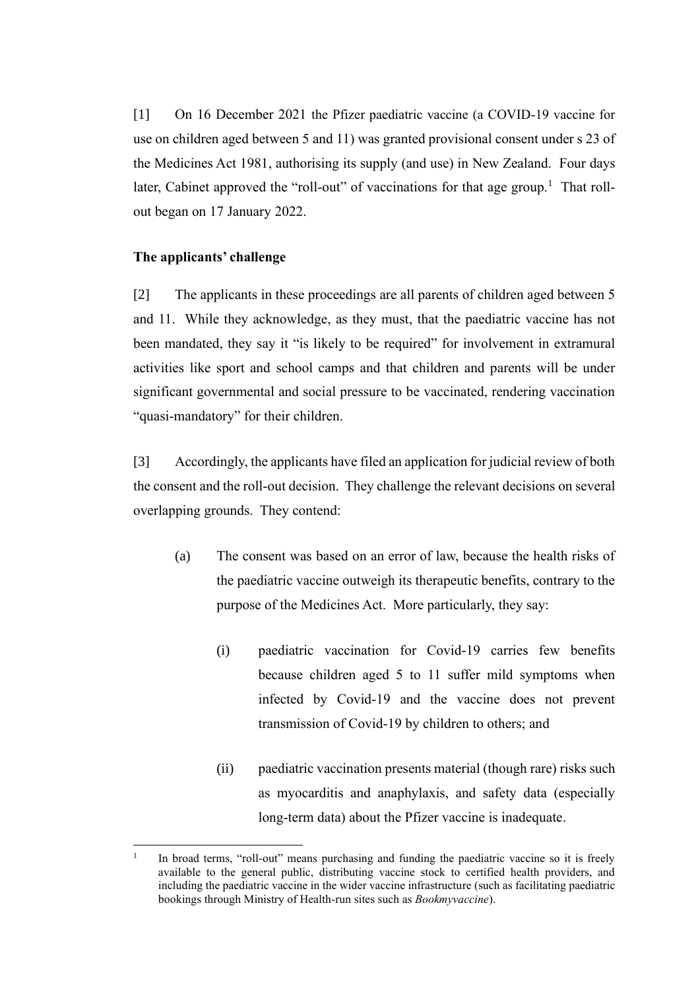[1] On 16 December 2021 the Pfizer paediatric vaccine (a COVID-19 vaccine for use on children aged between 5 and 11) was granted provisional consent under s 23 of the Medicines Act 1981, authorising its supply (and use) in New Zealand. Four days later, Cabinet approved the "roll-out" of vaccinations for that age group.<sup>1</sup> That rollout began on 17 January 2022.

# **The applicants' challenge**

[2] The applicants in these proceedings are all parents of children aged between 5 and 11. While they acknowledge, as they must, that the paediatric vaccine has not been mandated, they say it "is likely to be required" for involvement in extramural activities like sport and school camps and that children and parents will be under significant governmental and social pressure to be vaccinated, rendering vaccination "quasi-mandatory" for their children.

[3] Accordingly, the applicants have filed an application for judicial review of both the consent and the roll-out decision. They challenge the relevant decisions on several overlapping grounds. They contend:

- (a) The consent was based on an error of law, because the health risks of the paediatric vaccine outweigh its therapeutic benefits, contrary to the purpose of the Medicines Act. More particularly, they say:
	- (i) paediatric vaccination for Covid-19 carries few benefits because children aged 5 to 11 suffer mild symptoms when infected by Covid-19 and the vaccine does not prevent transmission of Covid-19 by children to others; and
	- (ii) paediatric vaccination presents material (though rare) risks such as myocarditis and anaphylaxis, and safety data (especially long-term data) about the Pfizer vaccine is inadequate.

<sup>1</sup> In broad terms, "roll-out" means purchasing and funding the paediatric vaccine so it is freely available to the general public, distributing vaccine stock to certified health providers, and including the paediatric vaccine in the wider vaccine infrastructure (such as facilitating paediatric bookings through Ministry of Health-run sites such as *Bookmyvaccine*).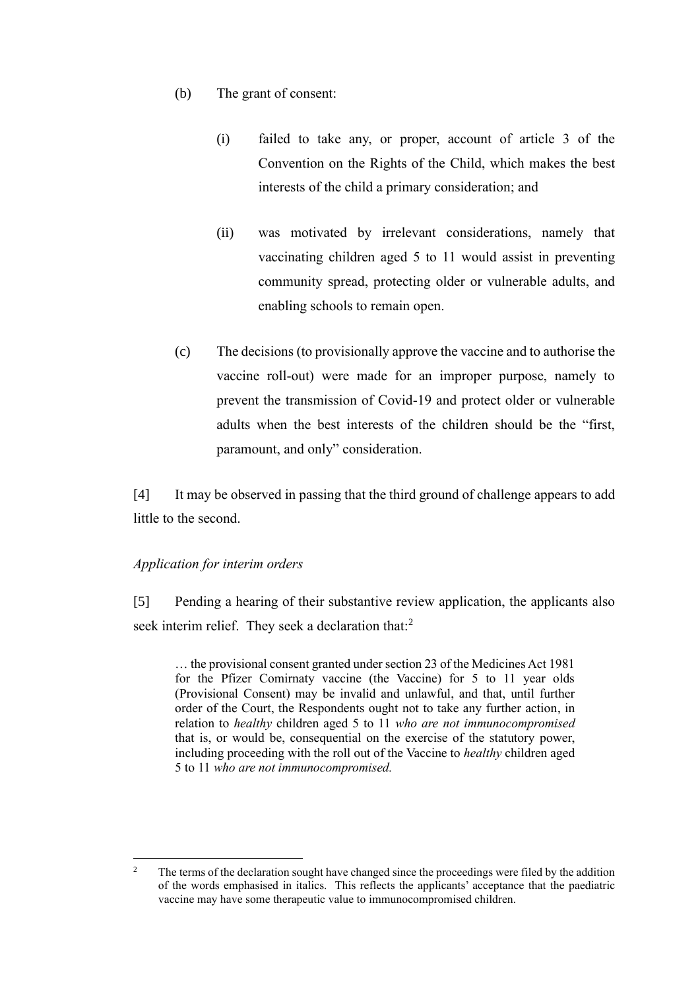- (b) The grant of consent:
	- (i) failed to take any, or proper, account of article 3 of the Convention on the Rights of the Child, which makes the best interests of the child a primary consideration; and
	- (ii) was motivated by irrelevant considerations, namely that vaccinating children aged 5 to 11 would assist in preventing community spread, protecting older or vulnerable adults, and enabling schools to remain open.
- (c) The decisions (to provisionally approve the vaccine and to authorise the vaccine roll-out) were made for an improper purpose, namely to prevent the transmission of Covid-19 and protect older or vulnerable adults when the best interests of the children should be the "first, paramount, and only" consideration.

[4] It may be observed in passing that the third ground of challenge appears to add little to the second.

# *Application for interim orders*

[5] Pending a hearing of their substantive review application, the applicants also seek interim relief. They seek a declaration that:<sup>2</sup>

… the provisional consent granted under section 23 of the Medicines Act 1981 for the Pfizer Comirnaty vaccine (the Vaccine) for 5 to 11 year olds (Provisional Consent) may be invalid and unlawful, and that, until further order of the Court, the Respondents ought not to take any further action, in relation to *healthy* children aged 5 to 11 *who are not immunocompromised* that is, or would be, consequential on the exercise of the statutory power, including proceeding with the roll out of the Vaccine to *healthy* children aged 5 to 11 *who are not immunocompromised.*

<sup>&</sup>lt;sup>2</sup> The terms of the declaration sought have changed since the proceedings were filed by the addition of the words emphasised in italics. This reflects the applicants' acceptance that the paediatric vaccine may have some therapeutic value to immunocompromised children.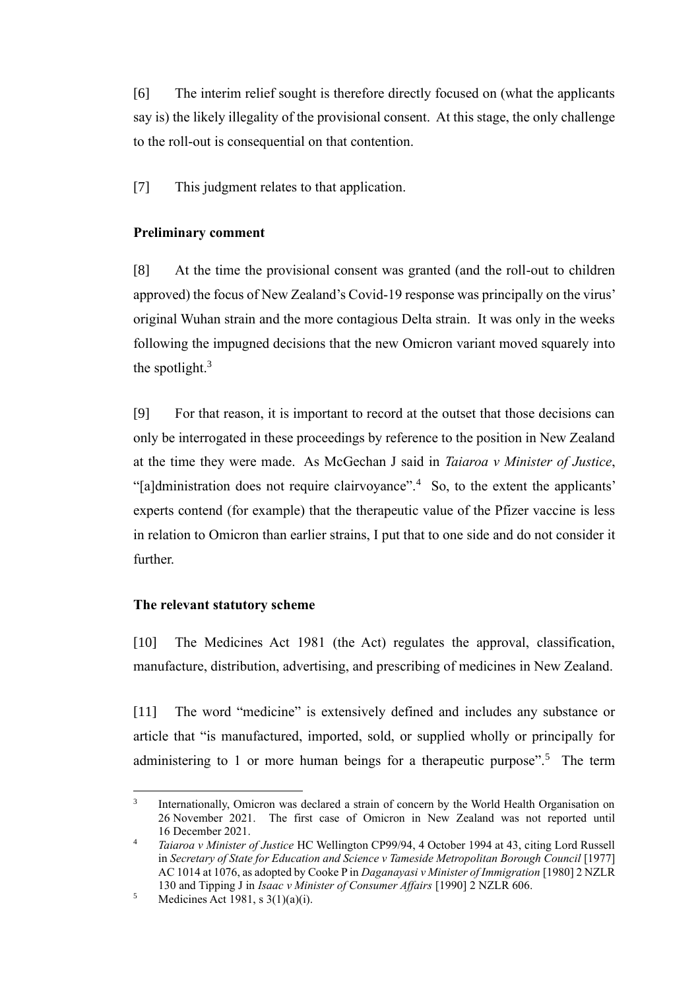[6] The interim relief sought is therefore directly focused on (what the applicants say is) the likely illegality of the provisional consent. At this stage, the only challenge to the roll-out is consequential on that contention.

[7] This judgment relates to that application.

# **Preliminary comment**

[8] At the time the provisional consent was granted (and the roll-out to children approved) the focus of New Zealand's Covid-19 response was principally on the virus' original Wuhan strain and the more contagious Delta strain. It was only in the weeks following the impugned decisions that the new Omicron variant moved squarely into the spotlight. $3$ 

[9] For that reason, it is important to record at the outset that those decisions can only be interrogated in these proceedings by reference to the position in New Zealand at the time they were made. As McGechan J said in *Taiaroa v Minister of Justice*, "[a]dministration does not require clairvoyance".<sup>4</sup> So, to the extent the applicants' experts contend (for example) that the therapeutic value of the Pfizer vaccine is less in relation to Omicron than earlier strains, I put that to one side and do not consider it further.

# **The relevant statutory scheme**

[10] The Medicines Act 1981 (the Act) regulates the approval, classification, manufacture, distribution, advertising, and prescribing of medicines in New Zealand.

[11] The word "medicine" is extensively defined and includes any substance or article that "is manufactured, imported, sold, or supplied wholly or principally for administering to 1 or more human beings for a therapeutic purpose".<sup>5</sup> The term

<sup>3</sup> Internationally, Omicron was declared a strain of concern by the World Health Organisation on 26 November 2021. The first case of Omicron in New Zealand was not reported until 16 December 2021.

<sup>4</sup> *Taiaroa v Minister of Justice* HC Wellington CP99/94, 4 October 1994 at 43, citing Lord Russell in *Secretary of State for Education and Science v Tameside Metropolitan Borough Council* [1977] AC 1014 at 1076, as adopted by Cooke P in *Daganayasi v Minister of Immigration* [1980] 2 NZLR 130 and Tipping J in *Isaac v Minister of Consumer Affairs* [1990] 2 NZLR 606.

 $5$  Medicines Act 1981, s 3(1)(a)(i).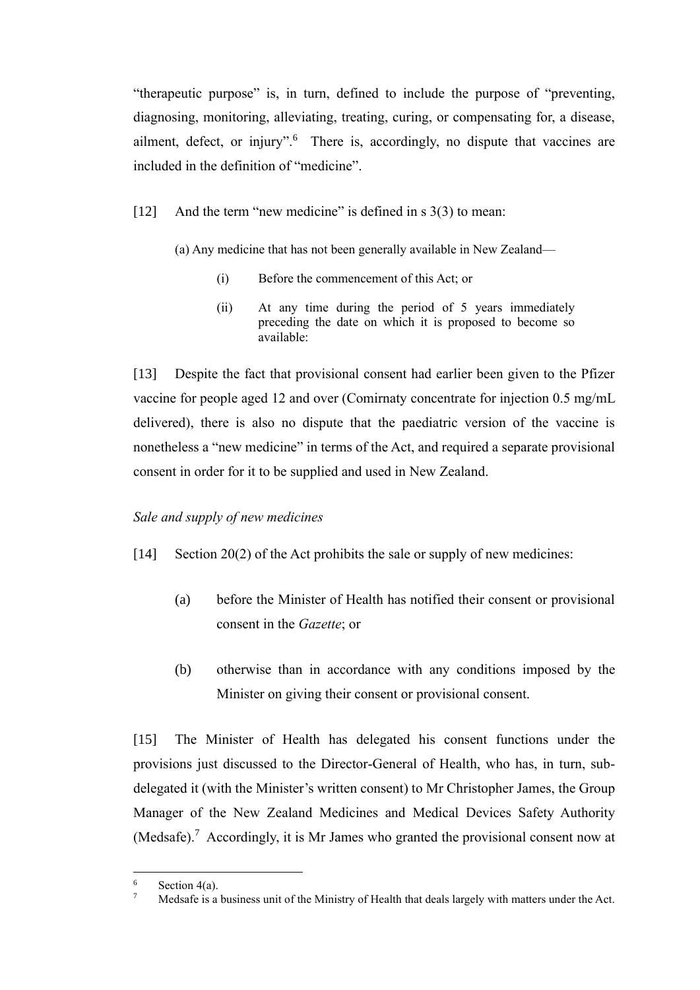"therapeutic purpose" is, in turn, defined to include the purpose of "preventing, diagnosing, monitoring, alleviating, treating, curing, or compensating for, a disease, ailment, defect, or injury".<sup>6</sup> There is, accordingly, no dispute that vaccines are included in the definition of "medicine".

- [12] And the term "new medicine" is defined in s 3(3) to mean:
	- (a) Any medicine that has not been generally available in New Zealand—
		- (i) Before the commencement of this Act; or
		- (ii) At any time during the period of 5 years immediately preceding the date on which it is proposed to become so available:

[13] Despite the fact that provisional consent had earlier been given to the Pfizer vaccine for people aged 12 and over (Comirnaty concentrate for injection 0.5 mg/mL delivered), there is also no dispute that the paediatric version of the vaccine is nonetheless a "new medicine" in terms of the Act, and required a separate provisional consent in order for it to be supplied and used in New Zealand.

# *Sale and supply of new medicines*

- [14] Section 20(2) of the Act prohibits the sale or supply of new medicines:
	- (a) before the Minister of Health has notified their consent or provisional consent in the *Gazette*; or
	- (b) otherwise than in accordance with any conditions imposed by the Minister on giving their consent or provisional consent.

[15] The Minister of Health has delegated his consent functions under the provisions just discussed to the Director-General of Health, who has, in turn, subdelegated it (with the Minister's written consent) to Mr Christopher James, the Group Manager of the New Zealand Medicines and Medical Devices Safety Authority (Medsafe).<sup>7</sup> Accordingly, it is Mr James who granted the provisional consent now at

 $\frac{6}{7}$  Section 4(a).

<sup>7</sup> Medsafe is a business unit of the Ministry of Health that deals largely with matters under the Act.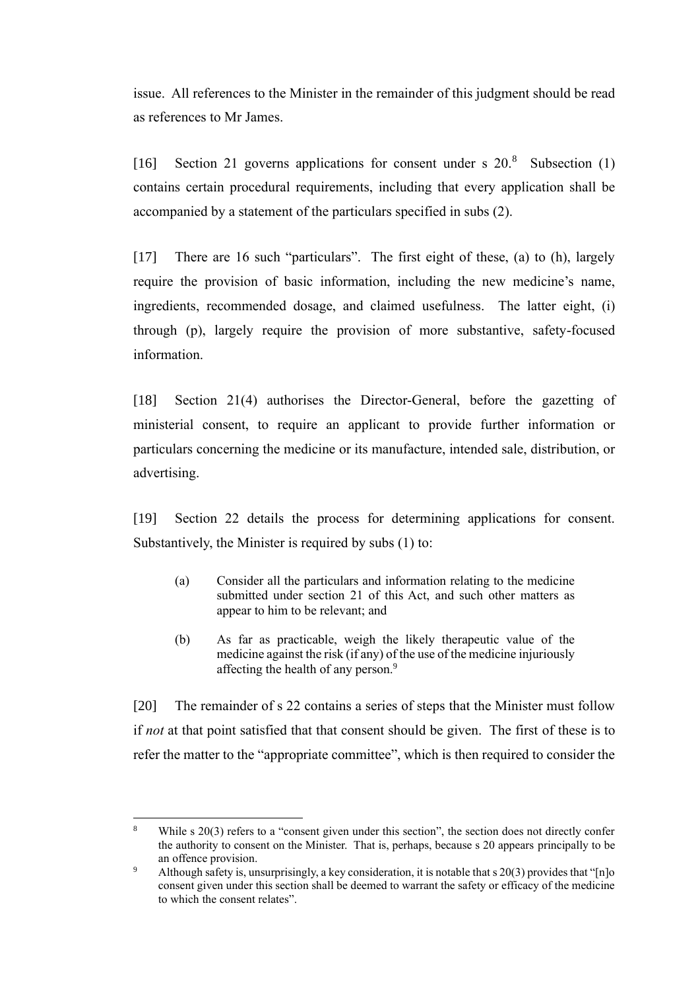issue. All references to the Minister in the remainder of this judgment should be read as references to Mr James.

[16] Section 21 governs applications for consent under s  $20.8$  Subsection (1) contains certain procedural requirements, including that every application shall be accompanied by a statement of the particulars specified in subs (2).

[17] There are 16 such "particulars". The first eight of these, (a) to (h), largely require the provision of basic information, including the new medicine's name, ingredients, recommended dosage, and claimed usefulness. The latter eight, (i) through (p), largely require the provision of more substantive, safety-focused information.

[18] Section 21(4) authorises the Director-General, before the gazetting of ministerial consent, to require an applicant to provide further information or particulars concerning the medicine or its manufacture, intended sale, distribution, or advertising.

[19] Section 22 details the process for determining applications for consent. Substantively, the Minister is required by subs (1) to:

- (a) Consider all the particulars and information relating to the medicine submitted under section 21 of this Act, and such other matters as appear to him to be relevant; and
- (b) As far as practicable, weigh the likely therapeutic value of the medicine against the risk (if any) of the use of the medicine injuriously affecting the health of any person.<sup>9</sup>

[20] The remainder of s 22 contains a series of steps that the Minister must follow if *not* at that point satisfied that that consent should be given. The first of these is to refer the matter to the "appropriate committee", which is then required to consider the

While s 20(3) refers to a "consent given under this section", the section does not directly confer the authority to consent on the Minister. That is, perhaps, because s 20 appears principally to be an offence provision.

<sup>&</sup>lt;sup>9</sup> Although safety is, unsurprisingly, a key consideration, it is notable that s 20(3) provides that "[n]o consent given under this section shall be deemed to warrant the safety or efficacy of the medicine to which the consent relates".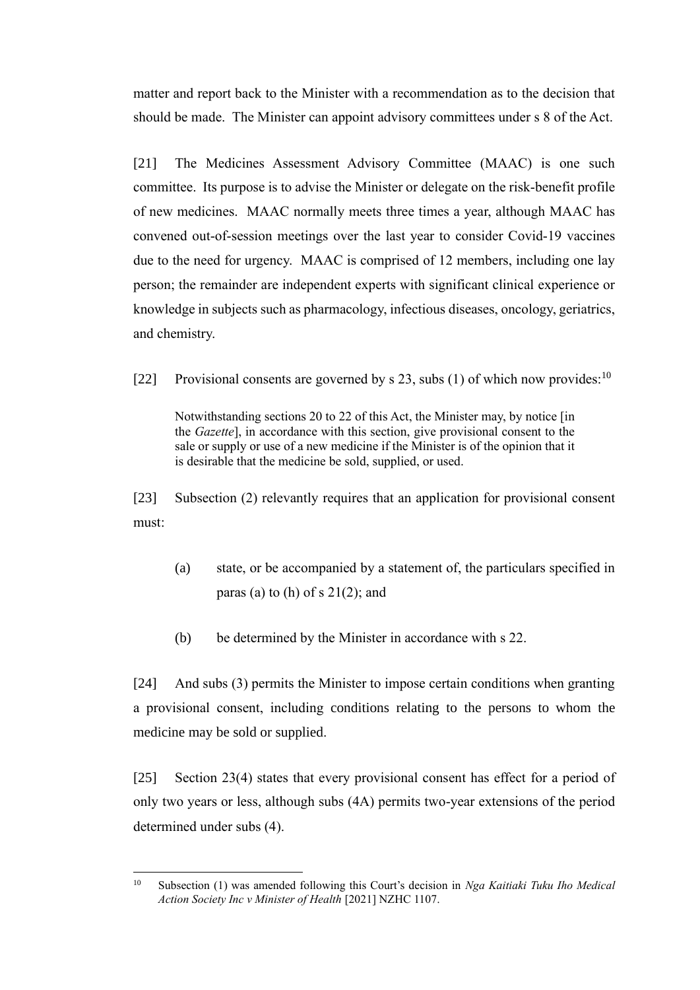matter and report back to the Minister with a recommendation as to the decision that should be made. The Minister can appoint advisory committees under s 8 of the Act.

[21] The Medicines Assessment Advisory Committee (MAAC) is one such committee. Its purpose is to advise the Minister or delegate on the risk-benefit profile of new medicines. MAAC normally meets three times a year, although MAAC has convened out-of-session meetings over the last year to consider Covid-19 vaccines due to the need for urgency. MAAC is comprised of 12 members, including one lay person; the remainder are independent experts with significant clinical experience or knowledge in subjects such as pharmacology, infectious diseases, oncology, geriatrics, and chemistry.

[22] Provisional consents are governed by s 23, subs (1) of which now provides:  $10^{\circ}$ 

Notwithstanding sections 20 to 22 of this Act, the Minister may, by notice [in the *Gazette*], in accordance with this section, give provisional consent to the sale or supply or use of a new medicine if the Minister is of the opinion that it is desirable that the medicine be sold, supplied, or used.

[23] Subsection (2) relevantly requires that an application for provisional consent must:

- (a) state, or be accompanied by a statement of, the particulars specified in paras (a) to (h) of  $s$  21(2); and
- (b) be determined by the Minister in accordance with s 22.

[24] And subs (3) permits the Minister to impose certain conditions when granting a provisional consent, including conditions relating to the persons to whom the medicine may be sold or supplied.

[25] Section 23(4) states that every provisional consent has effect for a period of only two years or less, although subs (4A) permits two-year extensions of the period determined under subs (4).

<sup>10</sup> Subsection (1) was amended following this Court's decision in *Nga Kaitiaki Tuku Iho Medical Action Society Inc v Minister of Health* [2021] NZHC 1107.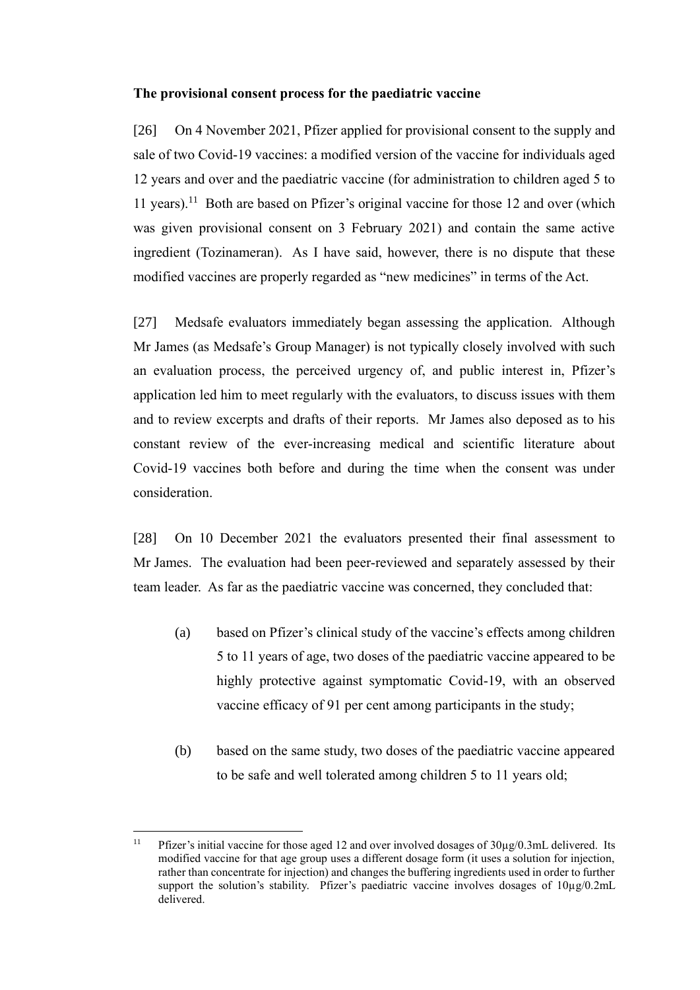#### **The provisional consent process for the paediatric vaccine**

[26] On 4 November 2021, Pfizer applied for provisional consent to the supply and sale of two Covid-19 vaccines: a modified version of the vaccine for individuals aged 12 years and over and the paediatric vaccine (for administration to children aged 5 to 11 years).<sup>11</sup> Both are based on Pfizer's original vaccine for those 12 and over (which was given provisional consent on 3 February 2021) and contain the same active ingredient (Tozinameran). As I have said, however, there is no dispute that these modified vaccines are properly regarded as "new medicines" in terms of the Act.

[27] Medsafe evaluators immediately began assessing the application. Although Mr James (as Medsafe's Group Manager) is not typically closely involved with such an evaluation process, the perceived urgency of, and public interest in, Pfizer's application led him to meet regularly with the evaluators, to discuss issues with them and to review excerpts and drafts of their reports. Mr James also deposed as to his constant review of the ever-increasing medical and scientific literature about Covid-19 vaccines both before and during the time when the consent was under consideration.

[28] On 10 December 2021 the evaluators presented their final assessment to Mr James. The evaluation had been peer-reviewed and separately assessed by their team leader. As far as the paediatric vaccine was concerned, they concluded that:

- (a) based on Pfizer's clinical study of the vaccine's effects among children 5 to 11 years of age, two doses of the paediatric vaccine appeared to be highly protective against symptomatic Covid-19, with an observed vaccine efficacy of 91 per cent among participants in the study;
- (b) based on the same study, two doses of the paediatric vaccine appeared to be safe and well tolerated among children 5 to 11 years old;

<sup>11</sup> Pfizer's initial vaccine for those aged 12 and over involved dosages of 30µg/0.3mL delivered. Its modified vaccine for that age group uses a different dosage form (it uses a solution for injection, rather than concentrate for injection) and changes the buffering ingredients used in order to further support the solution's stability. Pfizer's paediatric vaccine involves dosages of  $10\mu$ g/0.2mL delivered.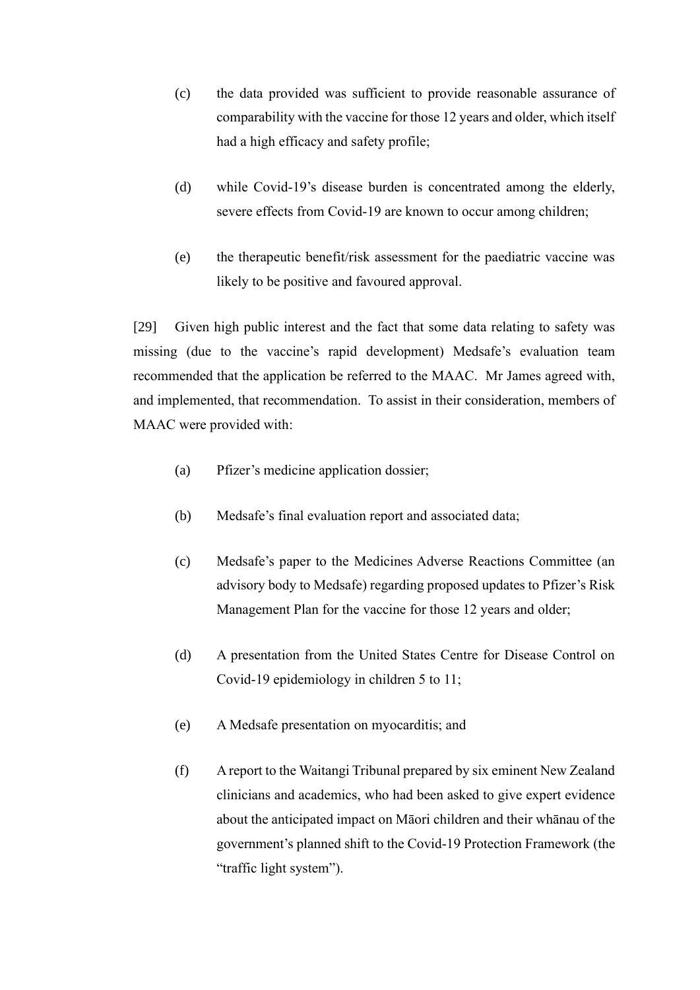- (c) the data provided was sufficient to provide reasonable assurance of comparability with the vaccine for those 12 years and older, which itself had a high efficacy and safety profile;
- (d) while Covid-19's disease burden is concentrated among the elderly, severe effects from Covid-19 are known to occur among children;
- (e) the therapeutic benefit/risk assessment for the paediatric vaccine was likely to be positive and favoured approval.

[29] Given high public interest and the fact that some data relating to safety was missing (due to the vaccine's rapid development) Medsafe's evaluation team recommended that the application be referred to the MAAC. Mr James agreed with, and implemented, that recommendation. To assist in their consideration, members of MAAC were provided with:

- (a) Pfizer's medicine application dossier;
- (b) Medsafe's final evaluation report and associated data;
- (c) Medsafe's paper to the Medicines Adverse Reactions Committee (an advisory body to Medsafe) regarding proposed updates to Pfizer's Risk Management Plan for the vaccine for those 12 years and older;
- (d) A presentation from the United States Centre for Disease Control on Covid-19 epidemiology in children 5 to 11;
- (e) A Medsafe presentation on myocarditis; and
- (f) A report to the Waitangi Tribunal prepared by six eminent New Zealand clinicians and academics, who had been asked to give expert evidence about the anticipated impact on Māori children and their whānau of the government's planned shift to the Covid-19 Protection Framework (the "traffic light system").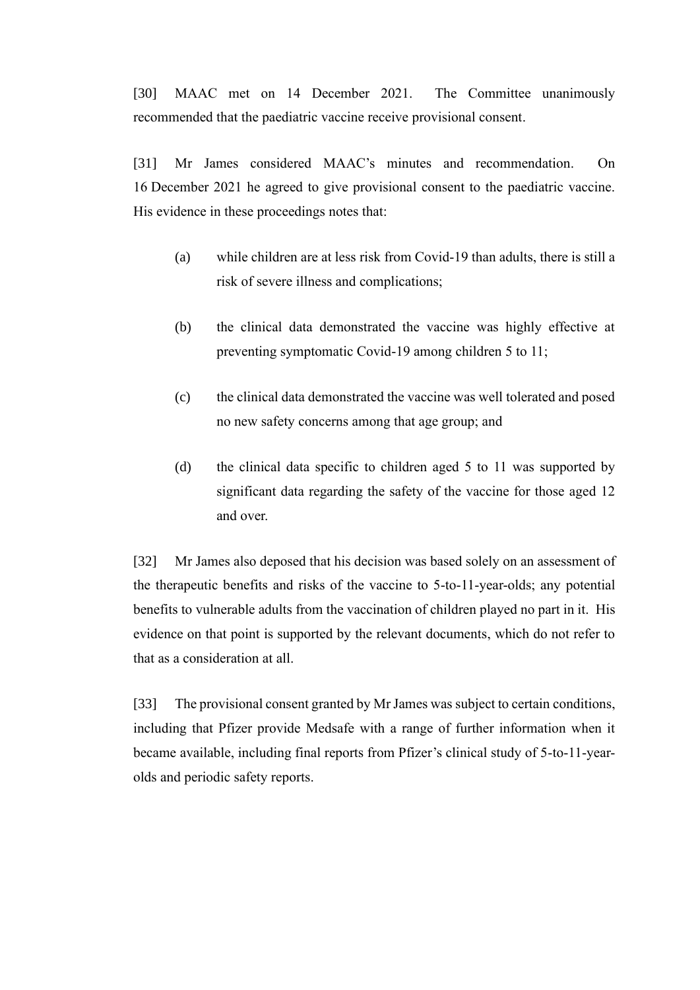[30] MAAC met on 14 December 2021. The Committee unanimously recommended that the paediatric vaccine receive provisional consent.

[31] Mr James considered MAAC's minutes and recommendation. On 16 December 2021 he agreed to give provisional consent to the paediatric vaccine. His evidence in these proceedings notes that:

- (a) while children are at less risk from Covid-19 than adults, there is still a risk of severe illness and complications;
- (b) the clinical data demonstrated the vaccine was highly effective at preventing symptomatic Covid-19 among children 5 to 11;
- (c) the clinical data demonstrated the vaccine was well tolerated and posed no new safety concerns among that age group; and
- (d) the clinical data specific to children aged 5 to 11 was supported by significant data regarding the safety of the vaccine for those aged 12 and over.

[32] Mr James also deposed that his decision was based solely on an assessment of the therapeutic benefits and risks of the vaccine to 5-to-11-year-olds; any potential benefits to vulnerable adults from the vaccination of children played no part in it. His evidence on that point is supported by the relevant documents, which do not refer to that as a consideration at all.

[33] The provisional consent granted by Mr James was subject to certain conditions, including that Pfizer provide Medsafe with a range of further information when it became available, including final reports from Pfizer's clinical study of 5-to-11-yearolds and periodic safety reports.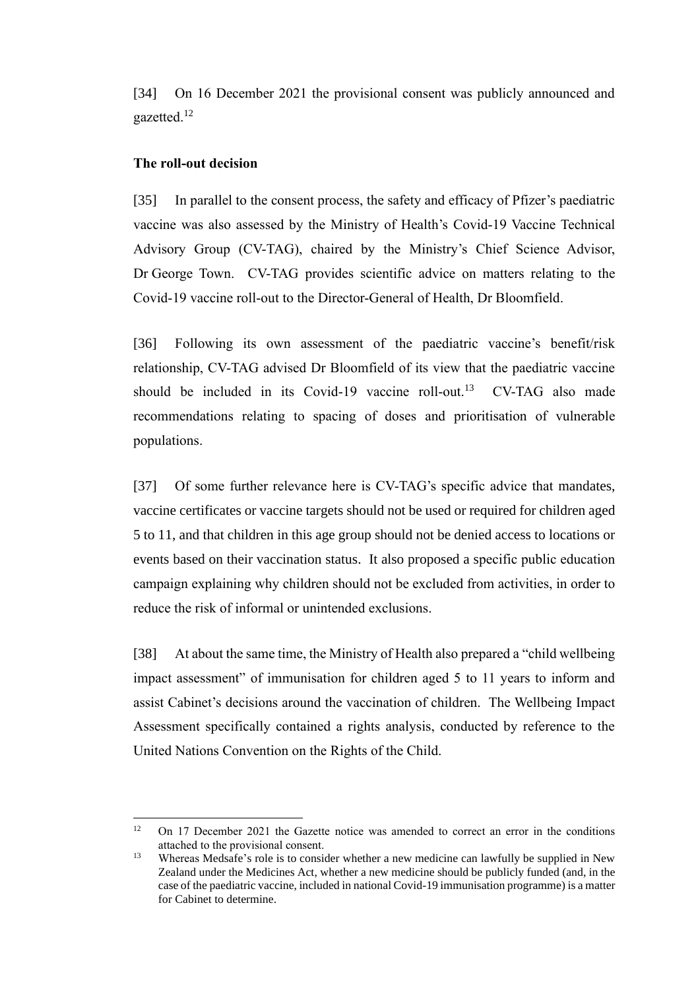[34] On 16 December 2021 the provisional consent was publicly announced and gazetted.<sup>12</sup>

#### **The roll-out decision**

[35] In parallel to the consent process, the safety and efficacy of Pfizer's paediatric vaccine was also assessed by the Ministry of Health's Covid-19 Vaccine Technical Advisory Group (CV-TAG), chaired by the Ministry's Chief Science Advisor, Dr George Town. CV-TAG provides scientific advice on matters relating to the Covid-19 vaccine roll-out to the Director-General of Health, Dr Bloomfield.

[36] Following its own assessment of the paediatric vaccine's benefit/risk relationship, CV-TAG advised Dr Bloomfield of its view that the paediatric vaccine should be included in its Covid-19 vaccine roll-out.<sup>13</sup> CV-TAG also made recommendations relating to spacing of doses and prioritisation of vulnerable populations.

[37] Of some further relevance here is CV-TAG's specific advice that mandates, vaccine certificates or vaccine targets should not be used or required for children aged 5 to 11, and that children in this age group should not be denied access to locations or events based on their vaccination status. It also proposed a specific public education campaign explaining why children should not be excluded from activities, in order to reduce the risk of informal or unintended exclusions.

[38] At about the same time, the Ministry of Health also prepared a "child wellbeing impact assessment" of immunisation for children aged 5 to 11 years to inform and assist Cabinet's decisions around the vaccination of children. The Wellbeing Impact Assessment specifically contained a rights analysis, conducted by reference to the United Nations Convention on the Rights of the Child.

<sup>&</sup>lt;sup>12</sup> On 17 December 2021 the Gazette notice was amended to correct an error in the conditions attached to the provisional consent.

<sup>&</sup>lt;sup>13</sup> Whereas Medsafe's role is to consider whether a new medicine can lawfully be supplied in New Zealand under the Medicines Act, whether a new medicine should be publicly funded (and, in the case of the paediatric vaccine, included in national Covid-19 immunisation programme) is a matter for Cabinet to determine.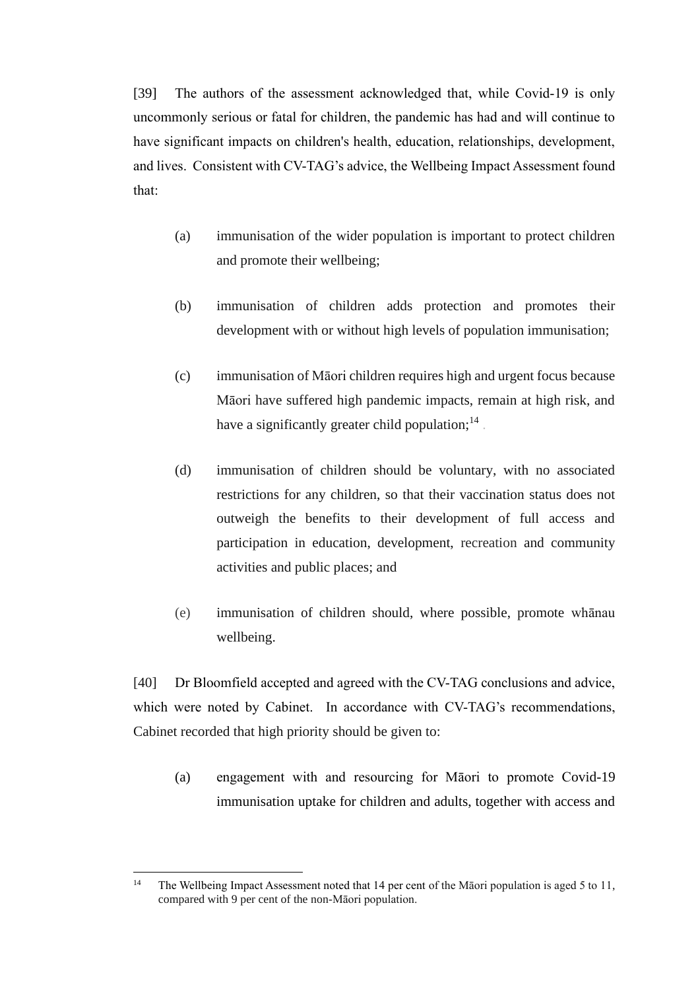[39] The authors of the assessment acknowledged that, while Covid-19 is only uncommonly serious or fatal for children, the pandemic has had and will continue to have significant impacts on children's health, education, relationships, development, and lives. Consistent with CV-TAG's advice, the Wellbeing Impact Assessment found that:

- (a) immunisation of the wider population is important to protect children and promote their wellbeing;
- (b) immunisation of children adds protection and promotes their development with or without high levels of population immunisation;
- (c) immunisation of Māori children requires high and urgent focus because Māori have suffered high pandemic impacts, remain at high risk, and have a significantly greater child population; $^{14}$ .
- (d) immunisation of children should be voluntary, with no associated restrictions for any children, so that their vaccination status does not outweigh the benefits to their development of full access and participation in education, development, recreation and community activities and public places; and
- (e) immunisation of children should, where possible, promote whānau wellbeing.

[40] Dr Bloomfield accepted and agreed with the CV-TAG conclusions and advice, which were noted by Cabinet. In accordance with CV-TAG's recommendations, Cabinet recorded that high priority should be given to:

(a) engagement with and resourcing for Māori to promote Covid-19 immunisation uptake for children and adults, together with access and

<sup>&</sup>lt;sup>14</sup> The Wellbeing Impact Assessment noted that 14 per cent of the Māori population is aged 5 to 11, compared with 9 per cent of the non-Māori population.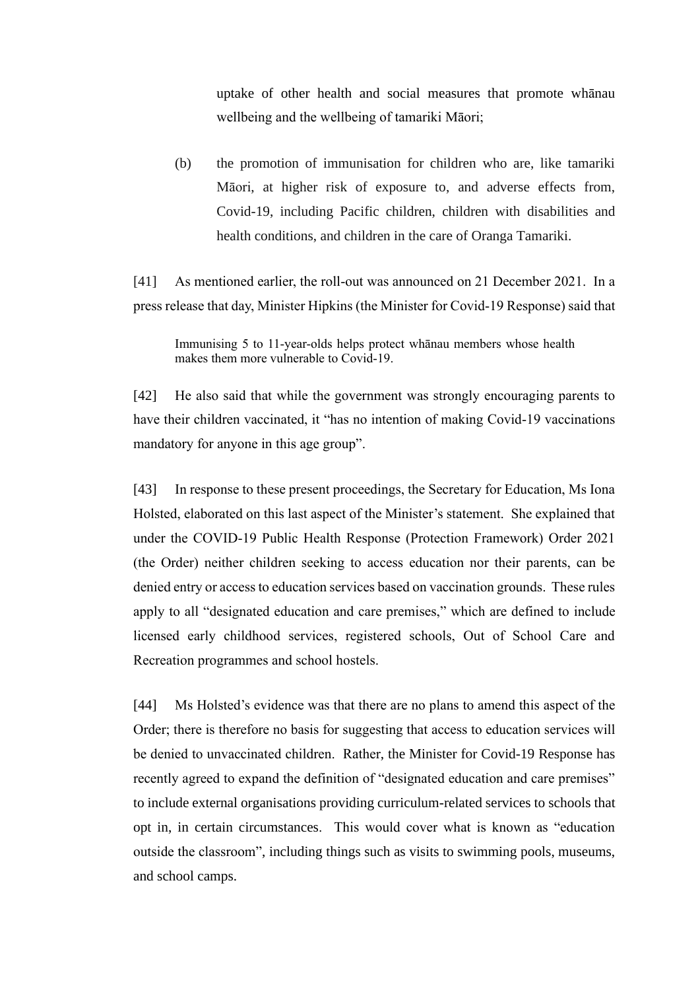uptake of other health and social measures that promote whānau wellbeing and the wellbeing of tamariki Māori;

(b) the promotion of immunisation for children who are, like tamariki Māori, at higher risk of exposure to, and adverse effects from, Covid-19, including Pacific children, children with disabilities and health conditions, and children in the care of Oranga Tamariki.

[41] As mentioned earlier, the roll-out was announced on 21 December 2021. In a press release that day, Minister Hipkins (the Minister for Covid-19 Response) said that

[42] He also said that while the government was strongly encouraging parents to have their children vaccinated, it "has no intention of making Covid-19 vaccinations mandatory for anyone in this age group".

[43] In response to these present proceedings, the Secretary for Education, Ms Iona Holsted, elaborated on this last aspect of the Minister's statement. She explained that under the COVID-19 Public Health Response (Protection Framework) Order 2021 (the Order) neither children seeking to access education nor their parents, can be denied entry or access to education services based on vaccination grounds. These rules apply to all "designated education and care premises," which are defined to include licensed early childhood services, registered schools, Out of School Care and Recreation programmes and school hostels.

[44] Ms Holsted's evidence was that there are no plans to amend this aspect of the Order; there is therefore no basis for suggesting that access to education services will be denied to unvaccinated children. Rather, the Minister for Covid-19 Response has recently agreed to expand the definition of "designated education and care premises" to include external organisations providing curriculum-related services to schools that opt in, in certain circumstances. This would cover what is known as "education outside the classroom", including things such as visits to swimming pools, museums, and school camps.

Immunising 5 to 11-year-olds helps protect whānau members whose health makes them more vulnerable to Covid-19.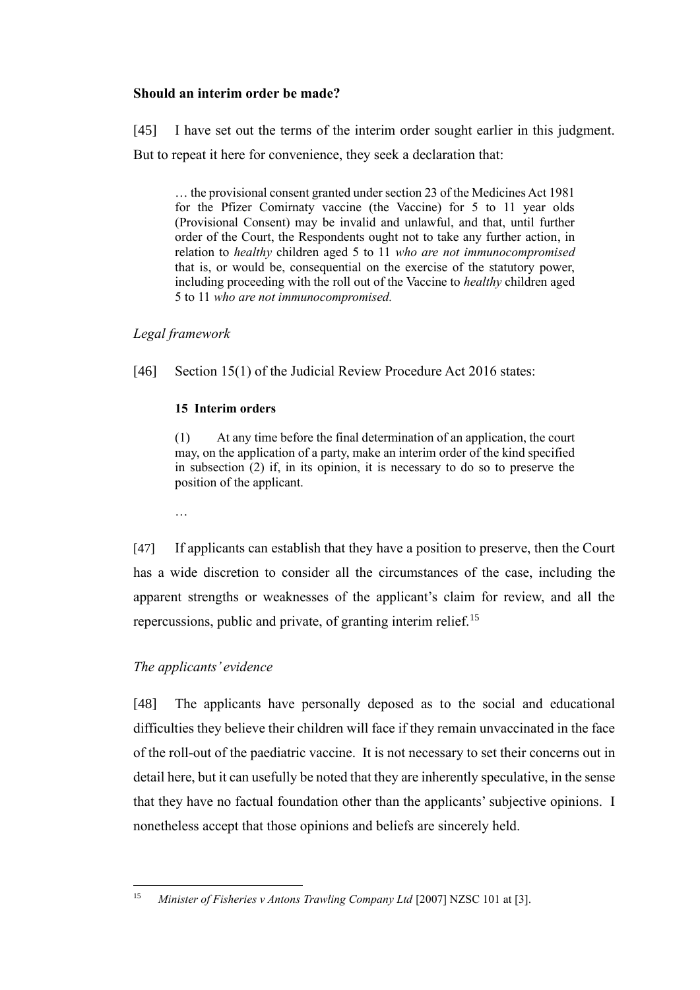### **Should an interim order be made?**

[45] I have set out the terms of the interim order sought earlier in this judgment. But to repeat it here for convenience, they seek a declaration that:

… the provisional consent granted under section 23 of the Medicines Act 1981 for the Pfizer Comirnaty vaccine (the Vaccine) for 5 to 11 year olds (Provisional Consent) may be invalid and unlawful, and that, until further order of the Court, the Respondents ought not to take any further action, in relation to *healthy* children aged 5 to 11 *who are not immunocompromised* that is, or would be, consequential on the exercise of the statutory power, including proceeding with the roll out of the Vaccine to *healthy* children aged 5 to 11 *who are not immunocompromised.*

*Legal framework*

…

[46] Section 15(1) of the Judicial Review Procedure Act 2016 states:

## **15 Interim orders**

(1) At any time before the final determination of an application, the court may, on the application of a party, make an interim order of the kind specified in subsection (2) if, in its opinion, it is necessary to do so to preserve the position of the applicant.

[47] If applicants can establish that they have a position to preserve, then the Court has a wide discretion to consider all the circumstances of the case, including the apparent strengths or weaknesses of the applicant's claim for review, and all the repercussions, public and private, of granting interim relief.<sup>15</sup>

# *The applicants' evidence*

[48] The applicants have personally deposed as to the social and educational difficulties they believe their children will face if they remain unvaccinated in the face of the roll-out of the paediatric vaccine. It is not necessary to set their concerns out in detail here, but it can usefully be noted that they are inherently speculative, in the sense that they have no factual foundation other than the applicants' subjective opinions. I nonetheless accept that those opinions and beliefs are sincerely held.

<sup>&</sup>lt;sup>15</sup> *Minister of Fisheries v Antons Trawling Company Ltd* [2007] NZSC 101 at [3].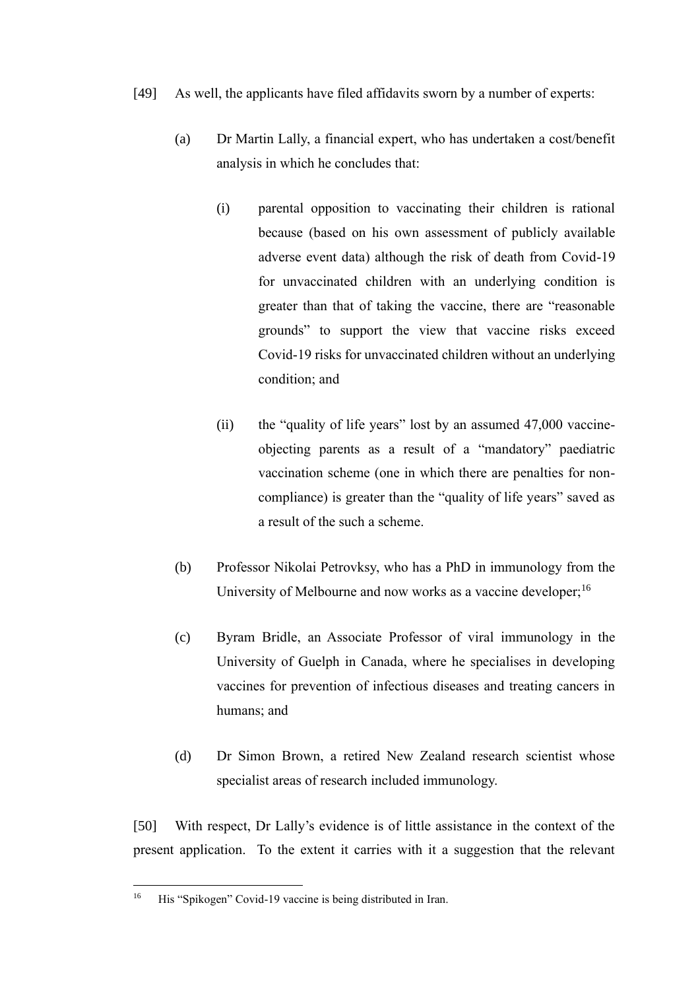- [49] As well, the applicants have filed affidavits sworn by a number of experts:
	- (a) Dr Martin Lally, a financial expert, who has undertaken a cost/benefit analysis in which he concludes that:
		- (i) parental opposition to vaccinating their children is rational because (based on his own assessment of publicly available adverse event data) although the risk of death from Covid-19 for unvaccinated children with an underlying condition is greater than that of taking the vaccine, there are "reasonable grounds" to support the view that vaccine risks exceed Covid-19 risks for unvaccinated children without an underlying condition; and
		- (ii) the "quality of life years" lost by an assumed 47,000 vaccineobjecting parents as a result of a "mandatory" paediatric vaccination scheme (one in which there are penalties for noncompliance) is greater than the "quality of life years" saved as a result of the such a scheme.
	- (b) Professor Nikolai Petrovksy, who has a PhD in immunology from the University of Melbourne and now works as a vaccine developer;<sup>16</sup>
	- (c) Byram Bridle, an Associate Professor of viral immunology in the University of Guelph in Canada, where he specialises in developing vaccines for prevention of infectious diseases and treating cancers in humans; and
	- (d) Dr Simon Brown, a retired New Zealand research scientist whose specialist areas of research included immunology.

[50] With respect, Dr Lally's evidence is of little assistance in the context of the present application. To the extent it carries with it a suggestion that the relevant

<sup>&</sup>lt;sup>16</sup> His "Spikogen" Covid-19 vaccine is being distributed in Iran.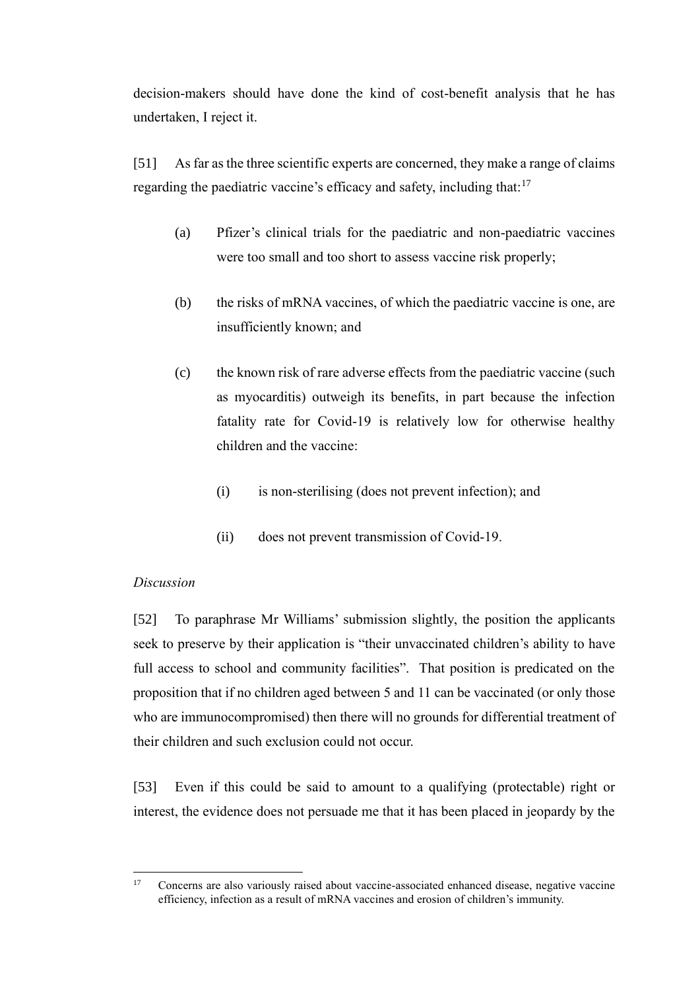decision-makers should have done the kind of cost-benefit analysis that he has undertaken, I reject it.

<span id="page-15-0"></span>[51] As far as the three scientific experts are concerned, they make a range of claims regarding the paediatric vaccine's efficacy and safety, including that: $17$ 

- (a) Pfizer's clinical trials for the paediatric and non-paediatric vaccines were too small and too short to assess vaccine risk properly;
- (b) the risks of mRNA vaccines, of which the paediatric vaccine is one, are insufficiently known; and
- (c) the known risk of rare adverse effects from the paediatric vaccine (such as myocarditis) outweigh its benefits, in part because the infection fatality rate for Covid-19 is relatively low for otherwise healthy children and the vaccine:
	- (i) is non-sterilising (does not prevent infection); and
	- (ii) does not prevent transmission of Covid-19.

#### *Discussion*

[52] To paraphrase Mr Williams' submission slightly, the position the applicants seek to preserve by their application is "their unvaccinated children's ability to have full access to school and community facilities". That position is predicated on the proposition that if no children aged between 5 and 11 can be vaccinated (or only those who are immunocompromised) then there will no grounds for differential treatment of their children and such exclusion could not occur.

[53] Even if this could be said to amount to a qualifying (protectable) right or interest, the evidence does not persuade me that it has been placed in jeopardy by the

<sup>&</sup>lt;sup>17</sup> Concerns are also variously raised about vaccine-associated enhanced disease, negative vaccine efficiency, infection as a result of mRNA vaccines and erosion of children's immunity.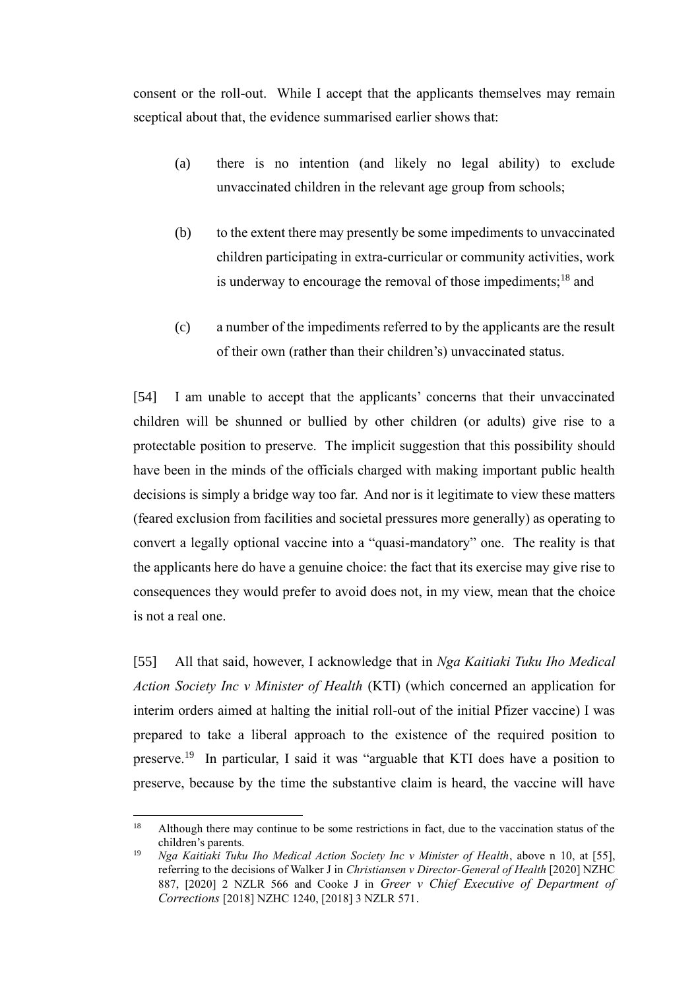consent or the roll-out. While I accept that the applicants themselves may remain sceptical about that, the evidence summarised earlier shows that:

- (a) there is no intention (and likely no legal ability) to exclude unvaccinated children in the relevant age group from schools;
- (b) to the extent there may presently be some impediments to unvaccinated children participating in extra-curricular or community activities, work is underway to encourage the removal of those impediments;<sup>18</sup> and
- (c) a number of the impediments referred to by the applicants are the result of their own (rather than their children's) unvaccinated status.

[54] I am unable to accept that the applicants' concerns that their unvaccinated children will be shunned or bullied by other children (or adults) give rise to a protectable position to preserve. The implicit suggestion that this possibility should have been in the minds of the officials charged with making important public health decisions is simply a bridge way too far. And nor is it legitimate to view these matters (feared exclusion from facilities and societal pressures more generally) as operating to convert a legally optional vaccine into a "quasi-mandatory" one. The reality is that the applicants here do have a genuine choice: the fact that its exercise may give rise to consequences they would prefer to avoid does not, in my view, mean that the choice is not a real one.

[55] All that said, however, I acknowledge that in *Nga Kaitiaki Tuku Iho Medical Action Society Inc v Minister of Health* (KTI) (which concerned an application for interim orders aimed at halting the initial roll-out of the initial Pfizer vaccine) I was prepared to take a liberal approach to the existence of the required position to preserve.<sup>19</sup> In particular, I said it was "arguable that KTI does have a position to preserve, because by the time the substantive claim is heard, the vaccine will have

<sup>&</sup>lt;sup>18</sup> Although there may continue to be some restrictions in fact, due to the vaccination status of the children's parents.

<sup>&</sup>lt;sup>19</sup> *Nga Kaitiaki Tuku Iho Medical Action Society Inc v Minister of Health, above n 10, at [55],* referring to the decisions of Walker J in *Christiansen v Director-General of Health* [2020] NZHC 887, [2020] 2 NZLR 566 and Cooke J in *Greer v Chief Executive of Department of Corrections* [2018] NZHC 1240, [2018] 3 NZLR 571.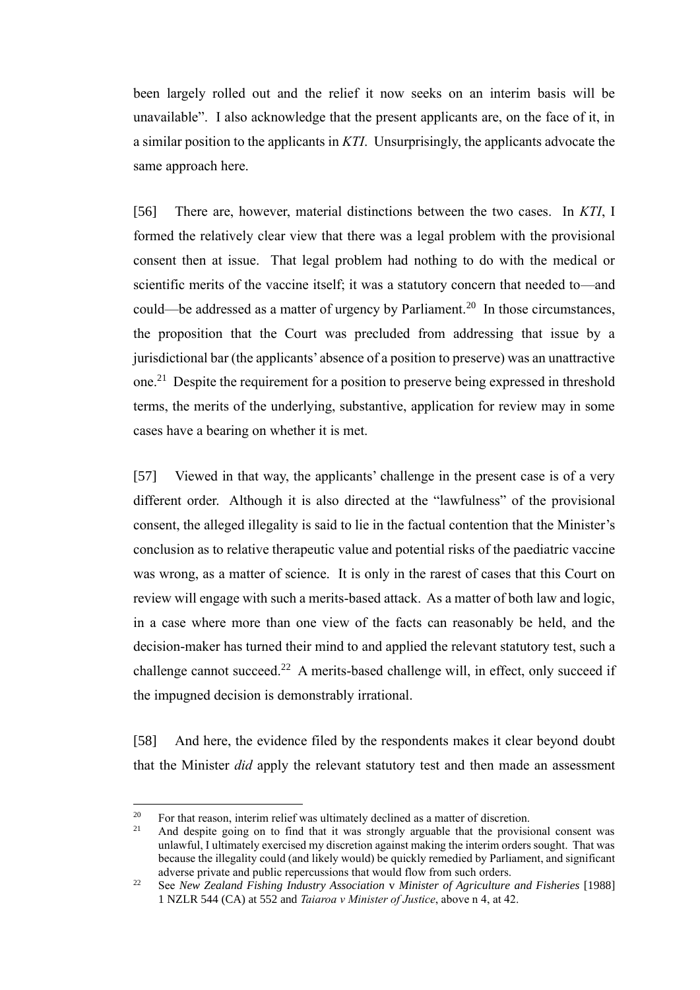been largely rolled out and the relief it now seeks on an interim basis will be unavailable". I also acknowledge that the present applicants are, on the face of it, in a similar position to the applicants in *KTI*. Unsurprisingly, the applicants advocate the same approach here.

[56] There are, however, material distinctions between the two cases. In *KTI*, I formed the relatively clear view that there was a legal problem with the provisional consent then at issue. That legal problem had nothing to do with the medical or scientific merits of the vaccine itself; it was a statutory concern that needed to—and could—be addressed as a matter of urgency by Parliament.<sup>20</sup> In those circumstances, the proposition that the Court was precluded from addressing that issue by a jurisdictional bar (the applicants' absence of a position to preserve) was an unattractive one.<sup>21</sup> Despite the requirement for a position to preserve being expressed in threshold terms, the merits of the underlying, substantive, application for review may in some cases have a bearing on whether it is met.

[57] Viewed in that way, the applicants' challenge in the present case is of a very different order. Although it is also directed at the "lawfulness" of the provisional consent, the alleged illegality is said to lie in the factual contention that the Minister's conclusion as to relative therapeutic value and potential risks of the paediatric vaccine was wrong, as a matter of science. It is only in the rarest of cases that this Court on review will engage with such a merits-based attack. As a matter of both law and logic, in a case where more than one view of the facts can reasonably be held, and the decision-maker has turned their mind to and applied the relevant statutory test, such a challenge cannot succeed.<sup>22</sup> A merits-based challenge will, in effect, only succeed if the impugned decision is demonstrably irrational.

[58] And here, the evidence filed by the respondents makes it clear beyond doubt that the Minister *did* apply the relevant statutory test and then made an assessment

<sup>&</sup>lt;sup>20</sup> For that reason, interim relief was ultimately declined as a matter of discretion.<br><sup>21</sup> And despite going on to find that it was strongly arouable that the provision

And despite going on to find that it was strongly arguable that the provisional consent was unlawful, I ultimately exercised my discretion against making the interim orders sought. That was because the illegality could (and likely would) be quickly remedied by Parliament, and significant adverse private and public repercussions that would flow from such orders.

<sup>22</sup> See *New Zealand Fishing Industry Association* v *Minister of Agriculture and Fisheries* [1988] 1 NZLR 544 (CA) at 552 and *Taiaroa v Minister of Justice*, above n 4, at 42.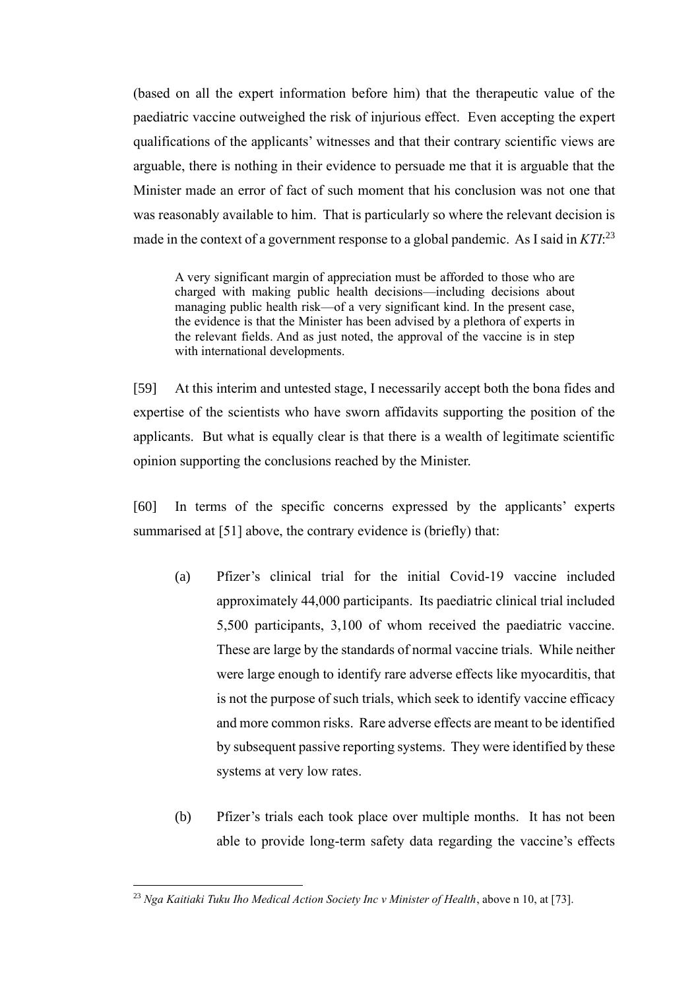(based on all the expert information before him) that the therapeutic value of the paediatric vaccine outweighed the risk of injurious effect. Even accepting the expert qualifications of the applicants' witnesses and that their contrary scientific views are arguable, there is nothing in their evidence to persuade me that it is arguable that the Minister made an error of fact of such moment that his conclusion was not one that was reasonably available to him. That is particularly so where the relevant decision is made in the context of a government response to a global pandemic. As I said in *KTI*: 23

A very significant margin of appreciation must be afforded to those who are charged with making public health decisions—including decisions about managing public health risk—of a very significant kind. In the present case, the evidence is that the Minister has been advised by a plethora of experts in the relevant fields. And as just noted, the approval of the vaccine is in step with international developments.

[59] At this interim and untested stage, I necessarily accept both the bona fides and expertise of the scientists who have sworn affidavits supporting the position of the applicants. But what is equally clear is that there is a wealth of legitimate scientific opinion supporting the conclusions reached by the Minister.

[60] In terms of the specific concerns expressed by the applicants' experts summarised at [\[51\]](#page-15-0) above, the contrary evidence is (briefly) that:

- (a) Pfizer's clinical trial for the initial Covid-19 vaccine included approximately 44,000 participants. Its paediatric clinical trial included 5,500 participants, 3,100 of whom received the paediatric vaccine. These are large by the standards of normal vaccine trials. While neither were large enough to identify rare adverse effects like myocarditis, that is not the purpose of such trials, which seek to identify vaccine efficacy and more common risks. Rare adverse effects are meant to be identified by subsequent passive reporting systems. They were identified by these systems at very low rates.
- (b) Pfizer's trials each took place over multiple months. It has not been able to provide long-term safety data regarding the vaccine's effects

<sup>&</sup>lt;sup>23</sup> *Nga Kaitiaki Tuku Iho Medical Action Society Inc v Minister of Health*, above n 10, at [73].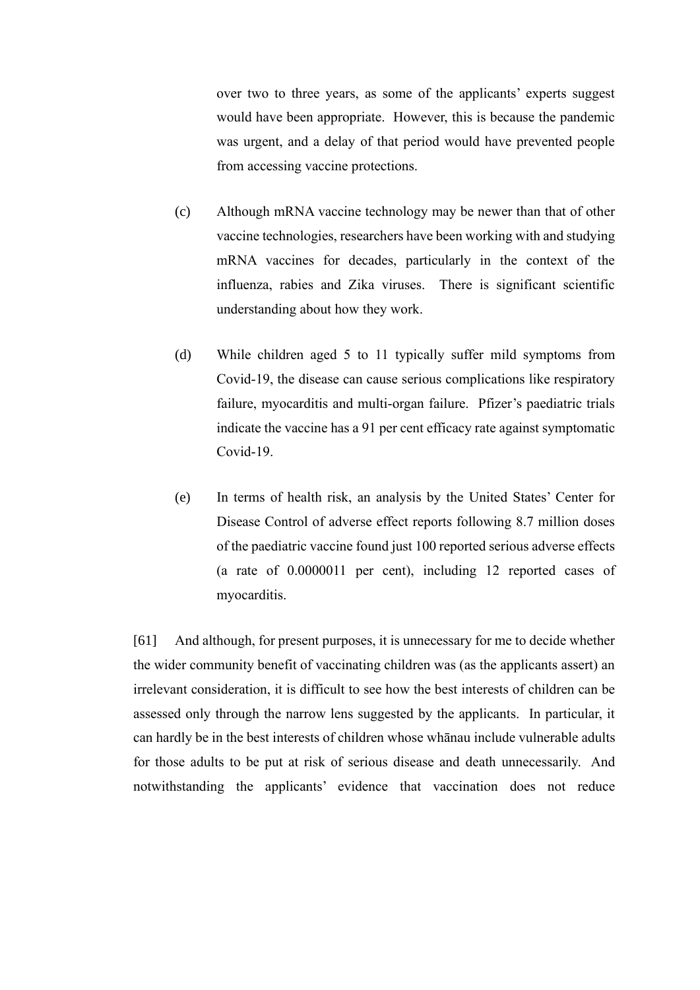over two to three years, as some of the applicants' experts suggest would have been appropriate. However, this is because the pandemic was urgent, and a delay of that period would have prevented people from accessing vaccine protections.

- (c) Although mRNA vaccine technology may be newer than that of other vaccine technologies, researchers have been working with and studying mRNA vaccines for decades, particularly in the context of the influenza, rabies and Zika viruses. There is significant scientific understanding about how they work.
- (d) While children aged 5 to 11 typically suffer mild symptoms from Covid-19, the disease can cause serious complications like respiratory failure, myocarditis and multi-organ failure. Pfizer's paediatric trials indicate the vaccine has a 91 per cent efficacy rate against symptomatic Covid-19.
- (e) In terms of health risk, an analysis by the United States' Center for Disease Control of adverse effect reports following 8.7 million doses of the paediatric vaccine found just 100 reported serious adverse effects (a rate of 0.0000011 per cent), including 12 reported cases of myocarditis.

[61] And although, for present purposes, it is unnecessary for me to decide whether the wider community benefit of vaccinating children was (as the applicants assert) an irrelevant consideration, it is difficult to see how the best interests of children can be assessed only through the narrow lens suggested by the applicants. In particular, it can hardly be in the best interests of children whose whānau include vulnerable adults for those adults to be put at risk of serious disease and death unnecessarily. And notwithstanding the applicants' evidence that vaccination does not reduce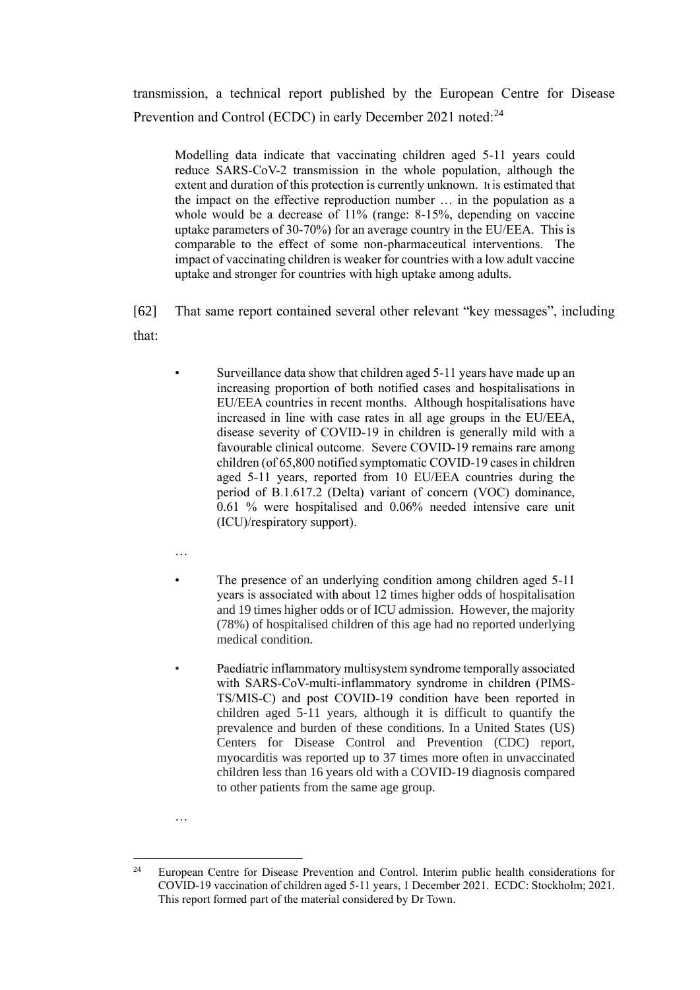transmission, a technical report published by the European Centre for Disease Prevention and Control (ECDC) in early December 2021 noted:<sup>24</sup>

Modelling data indicate that vaccinating children aged 5-11 years could reduce SARS-CoV-2 transmission in the whole population, although the extent and duration of this protection is currently unknown. It is estimated that the impact on the effective reproduction number … in the population as a whole would be a decrease of 11% (range: 8-15%, depending on vaccine uptake parameters of 30-70%) for an average country in the EU/EEA. This is comparable to the effect of some non-pharmaceutical interventions. The impact of vaccinating children is weaker for countries with a low adult vaccine uptake and stronger for countries with high uptake among adults.

[62] That same report contained several other relevant "key messages", including that:

Surveillance data show that children aged 5-11 years have made up an increasing proportion of both notified cases and hospitalisations in EU/EEA countries in recent months. Although hospitalisations have increased in line with case rates in all age groups in the EU/EEA, disease severity of COVID-19 in children is generally mild with a favourable clinical outcome. Severe COVID-19 remains rare among children (of 65,800 notified symptomatic COVID-19 cases in children aged 5-11 years, reported from 10 EU/EEA countries during the period of B.1.617.2 (Delta) variant of concern (VOC) dominance, 0.61 % were hospitalised and 0.06% needed intensive care unit (ICU)/respiratory support).

…

…

- The presence of an underlying condition among children aged 5-11 years is associated with about 12 times higher odds of hospitalisation and 19 times higher odds or of ICU admission. However, the majority (78%) of hospitalised children of this age had no reported underlying medical condition.
- Paediatric inflammatory multisystem syndrome temporally associated with SARS-CoV-multi-inflammatory syndrome in children (PIMS-TS/MIS-C) and post COVID-19 condition have been reported in children aged 5-11 years, although it is difficult to quantify the prevalence and burden of these conditions. In a United States (US) Centers for Disease Control and Prevention (CDC) report, myocarditis was reported up to 37 times more often in unvaccinated children less than 16 years old with a COVID-19 diagnosis compared to other patients from the same age group.

<sup>&</sup>lt;sup>24</sup> European Centre for Disease Prevention and Control. Interim public health considerations for COVID-19 vaccination of children aged 5-11 years, 1 December 2021. ECDC: Stockholm; 2021. This report formed part of the material considered by Dr Town.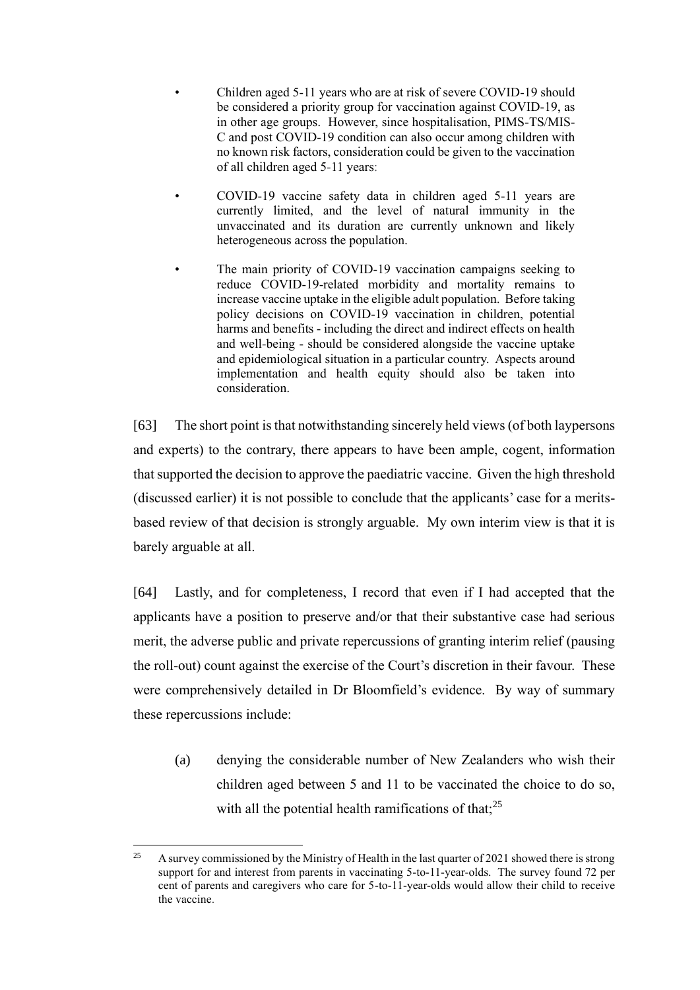- Children aged 5-11 years who are at risk of severe COVID-19 should be considered a priority group for vaccination against COVID-19, as in other age groups. However, since hospitalisation, PIMS-TS/MIS-C and post COVID-19 condition can also occur among children with no known risk factors, consideration could be given to the vaccination of all children aged 5-11 years:
- COVID-19 vaccine safety data in children aged 5-11 years are currently limited, and the level of natural immunity in the unvaccinated and its duration are currently unknown and likely heterogeneous across the population.
- The main priority of COVID-19 vaccination campaigns seeking to reduce COVID-19-related morbidity and mortality remains to increase vaccine uptake in the eligible adult population. Before taking policy decisions on COVID-19 vaccination in children, potential harms and benefits - including the direct and indirect effects on health and well-being - should be considered alongside the vaccine uptake and epidemiological situation in a particular country. Aspects around implementation and health equity should also be taken into consideration.

[63] The short point is that notwithstanding sincerely held views (of both laypersons and experts) to the contrary, there appears to have been ample, cogent, information that supported the decision to approve the paediatric vaccine. Given the high threshold (discussed earlier) it is not possible to conclude that the applicants' case for a meritsbased review of that decision is strongly arguable. My own interim view is that it is barely arguable at all.

[64] Lastly, and for completeness, I record that even if I had accepted that the applicants have a position to preserve and/or that their substantive case had serious merit, the adverse public and private repercussions of granting interim relief (pausing the roll-out) count against the exercise of the Court's discretion in their favour. These were comprehensively detailed in Dr Bloomfield's evidence. By way of summary these repercussions include:

(a) denying the considerable number of New Zealanders who wish their children aged between 5 and 11 to be vaccinated the choice to do so, with all the potential health ramifications of that;  $2^5$ 

<sup>&</sup>lt;sup>25</sup> A survey commissioned by the Ministry of Health in the last quarter of 2021 showed there is strong support for and interest from parents in vaccinating 5-to-11-year-olds. The survey found 72 per cent of parents and caregivers who care for 5-to-11-year-olds would allow their child to receive the vaccine.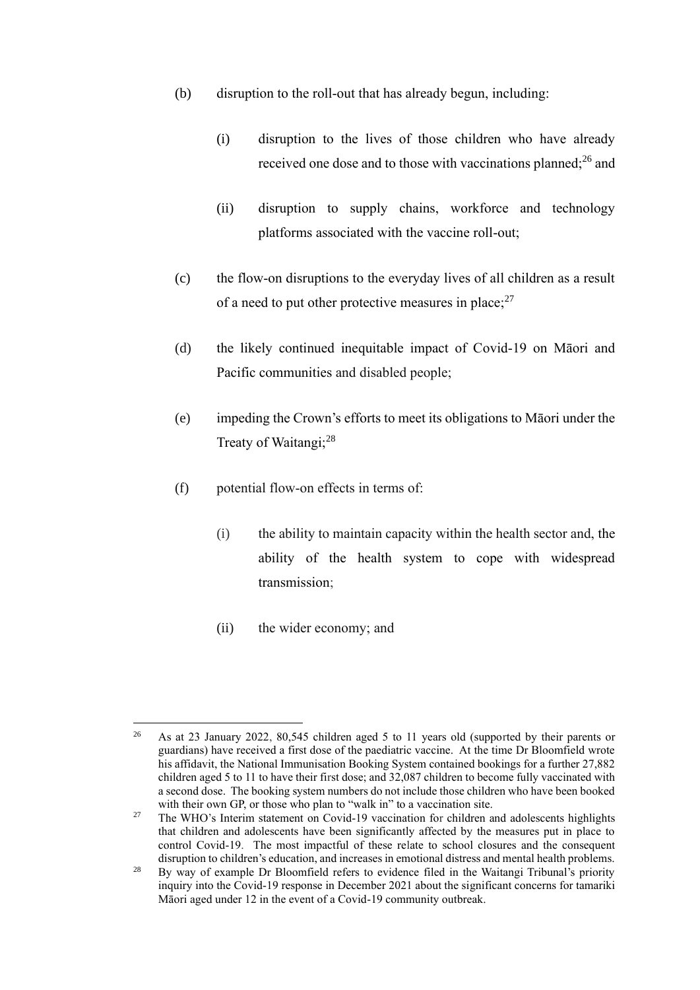- (b) disruption to the roll-out that has already begun, including:
	- (i) disruption to the lives of those children who have already received one dose and to those with vaccinations planned;<sup>26</sup> and
	- (ii) disruption to supply chains, workforce and technology platforms associated with the vaccine roll-out;
- (c) the flow-on disruptions to the everyday lives of all children as a result of a need to put other protective measures in place;  $2^7$
- (d) the likely continued inequitable impact of Covid-19 on Māori and Pacific communities and disabled people;
- (e) impeding the Crown's efforts to meet its obligations to Māori under the Treaty of Waitangi;<sup>28</sup>
- (f) potential flow-on effects in terms of:
	- (i) the ability to maintain capacity within the health sector and, the ability of the health system to cope with widespread transmission;
	- (ii) the wider economy; and

<sup>&</sup>lt;sup>26</sup> As at 23 January 2022, 80,545 children aged 5 to 11 years old (supported by their parents or guardians) have received a first dose of the paediatric vaccine. At the time Dr Bloomfield wrote his affidavit, the National Immunisation Booking System contained bookings for a further 27,882 children aged 5 to 11 to have their first dose; and 32,087 children to become fully vaccinated with a second dose. The booking system numbers do not include those children who have been booked with their own GP, or those who plan to "walk in" to a vaccination site.

<sup>&</sup>lt;sup>27</sup> The WHO's Interim statement on Covid-19 vaccination for children and adolescents highlights that children and adolescents have been significantly affected by the measures put in place to control Covid-19. The most impactful of these relate to school closures and the consequent disruption to children's education, and increases in emotional distress and mental health problems.

<sup>&</sup>lt;sup>28</sup> By way of example Dr Bloomfield refers to evidence filed in the Waitangi Tribunal's priority inquiry into the Covid-19 response in December 2021 about the significant concerns for tamariki Māori aged under 12 in the event of a Covid-19 community outbreak.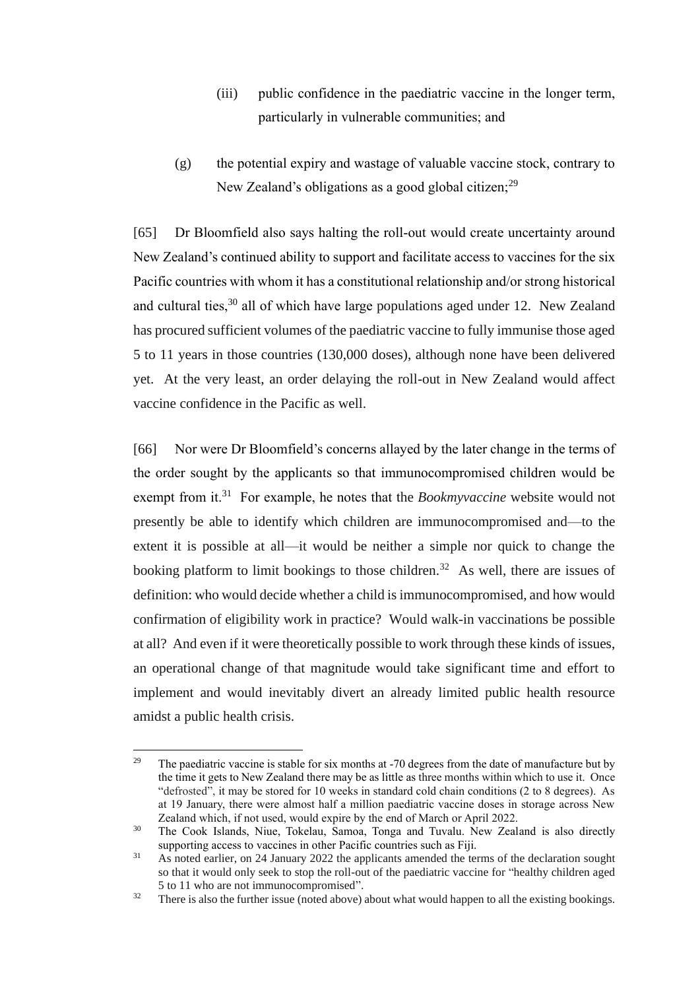- (iii) public confidence in the paediatric vaccine in the longer term, particularly in vulnerable communities; and
- (g) the potential expiry and wastage of valuable vaccine stock, contrary to New Zealand's obligations as a good global citizen;  $29$

[65] Dr Bloomfield also says halting the roll-out would create uncertainty around New Zealand's continued ability to support and facilitate access to vaccines for the six Pacific countries with whom it has a constitutional relationship and/or strong historical and cultural ties,  $30$  all of which have large populations aged under 12. New Zealand has procured sufficient volumes of the paediatric vaccine to fully immunise those aged 5 to 11 years in those countries (130,000 doses), although none have been delivered yet. At the very least, an order delaying the roll-out in New Zealand would affect vaccine confidence in the Pacific as well.

[66] Nor were Dr Bloomfield's concerns allayed by the later change in the terms of the order sought by the applicants so that immunocompromised children would be exempt from it.<sup>31</sup> For example, he notes that the *Bookmyvaccine* website would not presently be able to identify which children are immunocompromised and—to the extent it is possible at all—it would be neither a simple nor quick to change the booking platform to limit bookings to those children.<sup>32</sup> As well, there are issues of definition: who would decide whether a child is immunocompromised, and how would confirmation of eligibility work in practice? Would walk-in vaccinations be possible at all? And even if it were theoretically possible to work through these kinds of issues, an operational change of that magnitude would take significant time and effort to implement and would inevitably divert an already limited public health resource amidst a public health crisis.

<sup>&</sup>lt;sup>29</sup> The paediatric vaccine is stable for six months at  $-70$  degrees from the date of manufacture but by the time it gets to New Zealand there may be as little as three months within which to use it. Once "defrosted", it may be stored for 10 weeks in standard cold chain conditions (2 to 8 degrees). As at 19 January, there were almost half a million paediatric vaccine doses in storage across New Zealand which, if not used, would expire by the end of March or April 2022.

<sup>&</sup>lt;sup>30</sup> The Cook Islands, Niue, Tokelau, Samoa, Tonga and Tuvalu. New Zealand is also directly supporting access to vaccines in other Pacific countries such as Fiji.

<sup>&</sup>lt;sup>31</sup> As noted earlier, on 24 January 2022 the applicants amended the terms of the declaration sought so that it would only seek to stop the roll-out of the paediatric vaccine for "healthy children aged 5 to 11 who are not immunocompromised".

<sup>&</sup>lt;sup>32</sup> There is also the further issue (noted above) about what would happen to all the existing bookings.